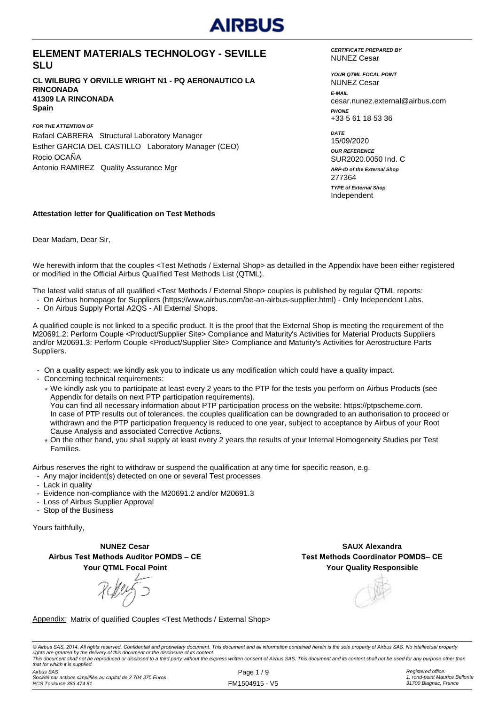#### **ELEMENT MATERIALS TECHNOLOGY - SEVILLE SLU**

**CL WILBURG Y ORVILLE WRIGHT N1 - PQ AERONAUTICO LA RINCONADA 41309 LA RINCONADA Spain**

*FOR THE ATTENTION OF* Rafael CABRERA Structural Laboratory Manager Esther GARCIA DEL CASTILLO Laboratory Manager (CEO) Rocio OCAÑA Antonio RAMIREZ Quality Assurance Mgr

*CERTIFICATE PREPARED BY* NUNEZ Cesar

*YOUR QTML FOCAL POINT E-MAIL* cesar.nunez.external@airbus.com *PHONE* +33 5 61 18 53 36 NUNEZ Cesar

*ARP-ID of the External Shop DATE* 15/09/2020 *OUR REFERENCE* SUR2020.0050 Ind. C Independent 277364 *TYPE of External Shop*

#### **Attestation letter for Qualification on Test Methods**

Dear Madam, Dear Sir,

We herewith inform that the couples <Test Methods / External Shop> as detailled in the Appendix have been either registered or modified in the Official Airbus Qualified Test Methods List (QTML).

The latest valid status of all qualified <Test Methods / External Shop> couples is published by regular QTML reports:

- On Airbus homepage for Suppliers (https://www.airbus.com/be-an-airbus-supplier.html) Only Independent Labs.
- On Airbus Supply Portal A2QS All External Shops.

A qualified couple is not linked to a specific product. It is the proof that the External Shop is meeting the requirement of the M20691.2: Perform Couple <Product/Supplier Site> Compliance and Maturity's Activities for Material Products Suppliers and/or M20691.3: Perform Couple <Product/Supplier Site> Compliance and Maturity's Activities for Aerostructure Parts Suppliers.

- On a quality aspect: we kindly ask you to indicate us any modification which could have a quality impact.
- Concerning technical requirements:
	- \* We kindly ask you to participate at least every 2 years to the PTP for the tests you perform on Airbus Products (see Appendix for details on next PTP participation requirements). You can find all necessary information about PTP participation process on the website: https://ptpscheme.com. In case of PTP results out of tolerances, the couples qualification can be downgraded to an authorisation to proceed or withdrawn and the PTP participation frequency is reduced to one year, subject to acceptance by Airbus of your Root Cause Analysis and associated Corrective Actions.
	- \* On the other hand, you shall supply at least every 2 years the results of your Internal Homogeneity Studies per Test Families.

Airbus reserves the right to withdraw or suspend the qualification at any time for specific reason, e.g.

- Any major incident(s) detected on one or several Test processes
- Lack in quality
- Evidence non-compliance with the M20691.2 and/or M20691.3
- Loss of Airbus Supplier Approval
- Stop of the Business

Yours faithfully,

**NUNEZ Cesar Airbus Test Methods Auditor POMDS – CE Your QTML Focal Point**

**Your Quality Responsible SAUX Alexandra Test Methods Coordinator POMDS– CE**

Appendix: Matrix of qualified Couples <Test Methods / External Shop>

© Airbus SAS, 2014. All rights reserved. Confidential and proprietary document. This document and all information contained herein is the sole property of Airbus SAS. No intellectual property rights are granted by the delivery of this document or the disclosure of its content.<br>This document shall not be reproduced or disclosed to a third party without the express written consent of Airbus SAS. This document and *that for which it is supplied.*

*Airbus SAS Société par actions simplifiée au capital de 2.704.375 Euros RCS Toulouse 383 474 81*

Page 1 / 9 FM1504915 - V5 *Registered office: 1, rond-point Maurice Bellonte 31700 Blagnac, France*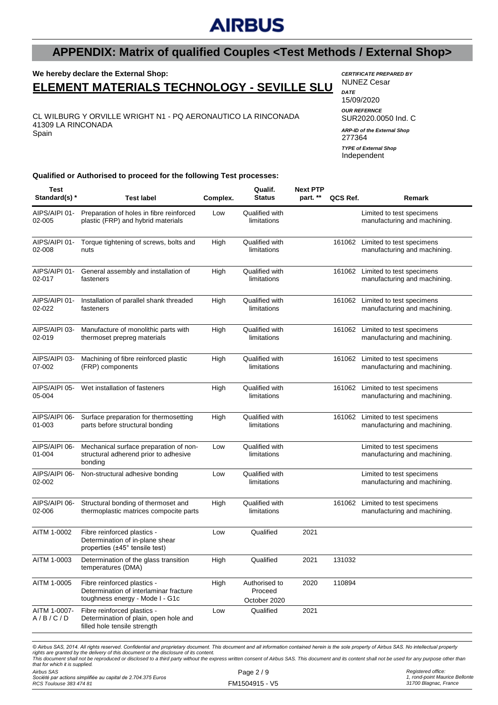### **APPENDIX: Matrix of qualified Couples <Test Methods / External Shop>**

### **We hereby declare the External Shop:**

### **ELEMENT MATERIALS TECHNOLOGY - SEVILLE SLU**

CL WILBURG Y ORVILLE WRIGHT N1 - PQ AERONAUTICO LA RINCONADA 41309 LA RINCONADA Spain

*CERTIFICATE PREPARED BY* NUNEZ Cesar *DATE* 15/09/2020 *OUR REFERNCE* SUR2020.0050 Ind. C 277364 *ARP-ID of the External Shop*

Independent *TYPE of External Shop*

**Qualified or Authorised to proceed for the following Test processes:**

| Test<br>Standard(s) *   | <b>Test label</b>                                                                                        | Complex. | Qualif.<br><b>Status</b>                 | <b>Next PTP</b><br>part. ** | QCS Ref. | Remark                                                           |
|-------------------------|----------------------------------------------------------------------------------------------------------|----------|------------------------------------------|-----------------------------|----------|------------------------------------------------------------------|
| AIPS/AIPI 01-<br>02-005 | Preparation of holes in fibre reinforced<br>plastic (FRP) and hybrid materials                           | Low      | Qualified with<br>limitations            |                             |          | Limited to test specimens<br>manufacturing and machining.        |
| AIPS/AIPI 01-<br>02-008 | Torque tightening of screws, bolts and<br>nuts                                                           | High     | Qualified with<br>limitations            |                             |          | 161062 Limited to test specimens<br>manufacturing and machining. |
| AIPS/AIPI 01-<br>02-017 | General assembly and installation of<br>fasteners                                                        | High     | Qualified with<br>limitations            |                             | 161062   | Limited to test specimens<br>manufacturing and machining.        |
| AIPS/AIPI 01-<br>02-022 | Installation of parallel shank threaded<br>fasteners                                                     | High     | Qualified with<br>limitations            |                             |          | 161062 Limited to test specimens<br>manufacturing and machining. |
| AIPS/AIPI 03-<br>02-019 | Manufacture of monolithic parts with<br>thermoset prepreg materials                                      | High     | Qualified with<br>limitations            |                             |          | 161062 Limited to test specimens<br>manufacturing and machining. |
| AIPS/AIPI 03-<br>07-002 | Machining of fibre reinforced plastic<br>(FRP) components                                                | High     | Qualified with<br>limitations            |                             |          | 161062 Limited to test specimens<br>manufacturing and machining. |
| AIPS/AIPI 05-<br>05-004 | Wet installation of fasteners                                                                            | High     | Qualified with<br>limitations            |                             |          | 161062 Limited to test specimens<br>manufacturing and machining. |
| AIPS/AIPI 06-<br>01-003 | Surface preparation for thermosetting<br>parts before structural bonding                                 | High     | Qualified with<br>limitations            |                             | 161062   | Limited to test specimens<br>manufacturing and machining.        |
| AIPS/AIPI 06-<br>01-004 | Mechanical surface preparation of non-<br>structural adherend prior to adhesive<br>bonding               | Low      | Qualified with<br>limitations            |                             |          | Limited to test specimens<br>manufacturing and machining.        |
| AIPS/AIPI 06-<br>02-002 | Non-structural adhesive bonding                                                                          | Low      | Qualified with<br>limitations            |                             |          | Limited to test specimens<br>manufacturing and machining.        |
| AIPS/AIPI 06-<br>02-006 | Structural bonding of thermoset and<br>thermoplastic matrices compocite parts                            | High     | Qualified with<br>limitations            |                             | 161062   | Limited to test specimens<br>manufacturing and machining.        |
| AITM 1-0002             | Fibre reinforced plastics -<br>Determination of in-plane shear<br>properties (±45° tensile test)         | Low      | Qualified                                | 2021                        |          |                                                                  |
| AITM 1-0003             | Determination of the glass transition<br>temperatures (DMA)                                              | High     | Qualified                                | 2021                        | 131032   |                                                                  |
| AITM 1-0005             | Fibre reinforced plastics -<br>Determination of interlaminar fracture<br>toughness energy - Mode I - G1c | High     | Authorised to<br>Proceed<br>October 2020 | 2020                        | 110894   |                                                                  |
| AITM 1-0007-<br>A/B/C/D | Fibre reinforced plastics -<br>Determination of plain, open hole and<br>filled hole tensile strength     | Low      | Qualified                                | 2021                        |          |                                                                  |

This document shall not be reproduced or disclosed to a third party without the express written consent of Airbus SAS. This document and its content shall not be used for any purpose other than *that for which it is supplied.*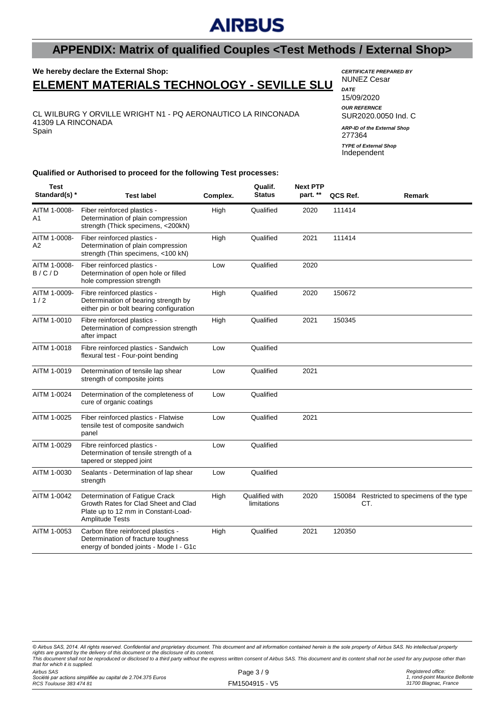### **APPENDIX: Matrix of qualified Couples <Test Methods / External Shop>**

# **We hereby declare the External Shop:**

**ELEMENT MATERIALS TECHNOLOGY - SEVILLE SLU**

CL WILBURG Y ORVILLE WRIGHT N1 - PQ AERONAUTICO LA RINCONADA 41309 LA RINCONADA Spain

*CERTIFICATE PREPARED BY* NUNEZ Cesar *DATE*

15/09/2020 *OUR REFERNCE* SUR2020.0050 Ind. C 277364 Independent *ARP-ID of the External Shop TYPE of External Shop*

**Qualified or Authorised to proceed for the following Test processes:**

| <b>Test</b><br>Standard(s) *   | <b>Test label</b>                                                                                                                       | Complex. | Qualif.<br><b>Status</b>      | <b>Next PTP</b><br>part. ** | QCS Ref. | Remark                                     |
|--------------------------------|-----------------------------------------------------------------------------------------------------------------------------------------|----------|-------------------------------|-----------------------------|----------|--------------------------------------------|
| AITM 1-0008-<br>A1             | Fiber reinforced plastics -<br>Determination of plain compression<br>strength (Thick specimens, <200kN)                                 | High     | Qualified                     | 2020                        | 111414   |                                            |
| AITM 1-0008-<br>A <sub>2</sub> | Fiber reinforced plastics -<br>Determination of plain compression<br>strength (Thin specimens, <100 kN)                                 | High     | Qualified                     | 2021                        | 111414   |                                            |
| AITM 1-0008-<br>B/C/D          | Fiber reinforced plastics -<br>Determination of open hole or filled<br>hole compression strength                                        | Low      | Qualified                     | 2020                        |          |                                            |
| AITM 1-0009-<br>1/2            | Fibre reinforced plastics -<br>Determination of bearing strength by<br>either pin or bolt bearing configuration                         | High     | Qualified                     | 2020                        | 150672   |                                            |
| AITM 1-0010                    | Fibre reinforced plastics -<br>Determination of compression strength<br>after impact                                                    | High     | Qualified                     | 2021                        | 150345   |                                            |
| AITM 1-0018                    | Fibre reinforced plastics - Sandwich<br>flexural test - Four-point bending                                                              | Low      | Qualified                     |                             |          |                                            |
| AITM 1-0019                    | Determination of tensile lap shear<br>strength of composite joints                                                                      | Low      | Qualified                     | 2021                        |          |                                            |
| AITM 1-0024                    | Determination of the completeness of<br>cure of organic coatings                                                                        | Low      | Qualified                     |                             |          |                                            |
| AITM 1-0025                    | Fiber reinforced plastics - Flatwise<br>tensile test of composite sandwich<br>panel                                                     | Low      | Qualified                     | 2021                        |          |                                            |
| AITM 1-0029                    | Fibre reinforced plastics -<br>Determination of tensile strength of a<br>tapered or stepped joint                                       | Low      | Qualified                     |                             |          |                                            |
| AITM 1-0030                    | Sealants - Determination of lap shear<br>strength                                                                                       | Low      | Qualified                     |                             |          |                                            |
| AITM 1-0042                    | Determination of Fatigue Crack<br>Growth Rates for Clad Sheet and Clad<br>Plate up to 12 mm in Constant-Load-<br><b>Amplitude Tests</b> | High     | Qualified with<br>limitations | 2020                        | 150084   | Restricted to specimens of the type<br>CT. |
| AITM 1-0053                    | Carbon fibre reinforced plastics -<br>Determination of fracture toughness<br>energy of bonded joints - Mode I - G1c                     | High     | Qualified                     | 2021                        | 120350   |                                            |

*© Airbus SAS, 2014. All rights reserved. Confidential and proprietary document. This document and all information contained herein is the sole property of Airbus SAS. No intellectual property*  rights are granted by the delivery of this document or the disclosure of its content.<br>This document shall not be reproduced or disclosed to a third party without the express written consent of Airbus SAS. This document and

*Airbus SAS that for which it is supplied.*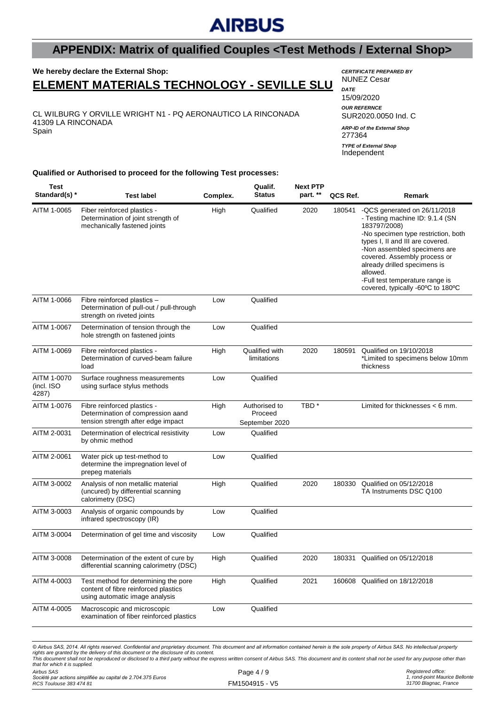### **APPENDIX: Matrix of qualified Couples <Test Methods / External Shop>**

#### **We hereby declare the External Shop: ELEMENT MATERIALS TECHNOLOGY - SEVILLE SLU**

CL WILBURG Y ORVILLE WRIGHT N1 - PQ AERONAUTICO LA RINCONADA 41309 LA RINCONADA Spain

#### *CERTIFICATE PREPARED BY* NUNEZ Cesar

| DATF<br>15/09/2020<br><b>OUR REFERNCE</b><br>SUR2020,0050 Ind. C |
|------------------------------------------------------------------|
| <b>ARP-ID of the External Shop</b><br>277364                     |
| <b>TYPE of External Shop</b><br>Independent                      |
|                                                                  |

#### **Qualified or Authorised to proceed for the following Test processes:**

| Fiber reinforced plastics -<br>AITM 1-0065<br>High<br>Qualified<br>2020<br>180541<br>Determination of joint strength of<br>mechanically fastened joints<br>183797/2008)<br>types I, II and III are covered.<br>covered. Assembly process or<br>already drilled specimens is<br>allowed.<br>-Full test temperature range is<br>Qualified<br>AITM 1-0066<br>Fibre reinforced plastics -<br>Low<br>Determination of pull-out / pull-through<br>strength on riveted joints<br>AITM 1-0067<br>Qualified<br>Determination of tension through the<br>Low<br>hole strength on fastened joints<br>AITM 1-0069<br>Fibre reinforced plastics -<br>Qualified with<br>Qualified on 19/10/2018<br>High<br>2020<br>180591<br>Determination of curved-beam failure<br>limitations<br>thickness<br>load<br>Qualified<br>AITM 1-0070<br>Surface roughness measurements<br>Low<br>(incl. ISO<br>using surface stylus methods<br>4287)<br>TBD <sup>*</sup><br>AITM 1-0076<br>Authorised to<br>Fibre reinforced plastics -<br>High<br>Determination of compression aand<br>Proceed<br>tension strength after edge impact<br>September 2020<br>AITM 2-0031<br>Qualified<br>Determination of electrical resistivity<br>Low<br>by ohmic method<br>Qualified<br>AITM 2-0061<br>Water pick up test-method to<br>Low<br>determine the impregnation level of<br>prepeg materials<br>AITM 3-0002<br>Analysis of non metallic material<br>Qualified<br>2020<br>Qualified on 05/12/2018<br>High<br>180330<br>(uncured) by differential scanning<br>TA Instruments DSC Q100<br>calorimetry (DSC)<br>AITM 3-0003<br>Analysis of organic compounds by<br>Qualified<br>Low<br>infrared spectroscopy (IR)<br>AITM 3-0004<br>Qualified<br>Determination of gel time and viscosity<br>Low<br>2020<br>AITM 3-0008<br>High<br>Qualified<br>180331 Qualified on 05/12/2018<br>Determination of the extent of cure by<br>differential scanning calorimetry (DSC)<br>AITM 4-0003<br>Test method for determining the pore<br>High<br>Qualified<br>2021<br>160608<br>Qualified on 18/12/2018<br>content of fibre reinforced plastics<br>using automatic image analysis<br>AITM 4-0005<br>Macroscopic and microscopic<br>Qualified<br>Low<br>examination of fiber reinforced plastics | Test<br>Standard(s) * | <b>Test label</b> | Complex. | Qualif.<br><b>Status</b> | <b>Next PTP</b><br>part. ** | QCS Ref. | Remark                                                                                                                                                                      |
|-----------------------------------------------------------------------------------------------------------------------------------------------------------------------------------------------------------------------------------------------------------------------------------------------------------------------------------------------------------------------------------------------------------------------------------------------------------------------------------------------------------------------------------------------------------------------------------------------------------------------------------------------------------------------------------------------------------------------------------------------------------------------------------------------------------------------------------------------------------------------------------------------------------------------------------------------------------------------------------------------------------------------------------------------------------------------------------------------------------------------------------------------------------------------------------------------------------------------------------------------------------------------------------------------------------------------------------------------------------------------------------------------------------------------------------------------------------------------------------------------------------------------------------------------------------------------------------------------------------------------------------------------------------------------------------------------------------------------------------------------------------------------------------------------------------------------------------------------------------------------------------------------------------------------------------------------------------------------------------------------------------------------------------------------------------------------------------------------------------------------------------------------------------------------------------------------------------------------------------------|-----------------------|-------------------|----------|--------------------------|-----------------------------|----------|-----------------------------------------------------------------------------------------------------------------------------------------------------------------------------|
|                                                                                                                                                                                                                                                                                                                                                                                                                                                                                                                                                                                                                                                                                                                                                                                                                                                                                                                                                                                                                                                                                                                                                                                                                                                                                                                                                                                                                                                                                                                                                                                                                                                                                                                                                                                                                                                                                                                                                                                                                                                                                                                                                                                                                                         |                       |                   |          |                          |                             |          | -QCS generated on 26/11/2018<br>- Testing machine ID: 9.1.4 (SN<br>-No specimen type restriction, both<br>-Non assembled specimens are<br>covered, typically -60°C to 180°C |
|                                                                                                                                                                                                                                                                                                                                                                                                                                                                                                                                                                                                                                                                                                                                                                                                                                                                                                                                                                                                                                                                                                                                                                                                                                                                                                                                                                                                                                                                                                                                                                                                                                                                                                                                                                                                                                                                                                                                                                                                                                                                                                                                                                                                                                         |                       |                   |          |                          |                             |          |                                                                                                                                                                             |
|                                                                                                                                                                                                                                                                                                                                                                                                                                                                                                                                                                                                                                                                                                                                                                                                                                                                                                                                                                                                                                                                                                                                                                                                                                                                                                                                                                                                                                                                                                                                                                                                                                                                                                                                                                                                                                                                                                                                                                                                                                                                                                                                                                                                                                         |                       |                   |          |                          |                             |          |                                                                                                                                                                             |
|                                                                                                                                                                                                                                                                                                                                                                                                                                                                                                                                                                                                                                                                                                                                                                                                                                                                                                                                                                                                                                                                                                                                                                                                                                                                                                                                                                                                                                                                                                                                                                                                                                                                                                                                                                                                                                                                                                                                                                                                                                                                                                                                                                                                                                         |                       |                   |          |                          |                             |          | *Limited to specimens below 10mm                                                                                                                                            |
|                                                                                                                                                                                                                                                                                                                                                                                                                                                                                                                                                                                                                                                                                                                                                                                                                                                                                                                                                                                                                                                                                                                                                                                                                                                                                                                                                                                                                                                                                                                                                                                                                                                                                                                                                                                                                                                                                                                                                                                                                                                                                                                                                                                                                                         |                       |                   |          |                          |                             |          |                                                                                                                                                                             |
|                                                                                                                                                                                                                                                                                                                                                                                                                                                                                                                                                                                                                                                                                                                                                                                                                                                                                                                                                                                                                                                                                                                                                                                                                                                                                                                                                                                                                                                                                                                                                                                                                                                                                                                                                                                                                                                                                                                                                                                                                                                                                                                                                                                                                                         |                       |                   |          |                          |                             |          | Limited for thicknesses $<$ 6 mm.                                                                                                                                           |
|                                                                                                                                                                                                                                                                                                                                                                                                                                                                                                                                                                                                                                                                                                                                                                                                                                                                                                                                                                                                                                                                                                                                                                                                                                                                                                                                                                                                                                                                                                                                                                                                                                                                                                                                                                                                                                                                                                                                                                                                                                                                                                                                                                                                                                         |                       |                   |          |                          |                             |          |                                                                                                                                                                             |
|                                                                                                                                                                                                                                                                                                                                                                                                                                                                                                                                                                                                                                                                                                                                                                                                                                                                                                                                                                                                                                                                                                                                                                                                                                                                                                                                                                                                                                                                                                                                                                                                                                                                                                                                                                                                                                                                                                                                                                                                                                                                                                                                                                                                                                         |                       |                   |          |                          |                             |          |                                                                                                                                                                             |
|                                                                                                                                                                                                                                                                                                                                                                                                                                                                                                                                                                                                                                                                                                                                                                                                                                                                                                                                                                                                                                                                                                                                                                                                                                                                                                                                                                                                                                                                                                                                                                                                                                                                                                                                                                                                                                                                                                                                                                                                                                                                                                                                                                                                                                         |                       |                   |          |                          |                             |          |                                                                                                                                                                             |
|                                                                                                                                                                                                                                                                                                                                                                                                                                                                                                                                                                                                                                                                                                                                                                                                                                                                                                                                                                                                                                                                                                                                                                                                                                                                                                                                                                                                                                                                                                                                                                                                                                                                                                                                                                                                                                                                                                                                                                                                                                                                                                                                                                                                                                         |                       |                   |          |                          |                             |          |                                                                                                                                                                             |
|                                                                                                                                                                                                                                                                                                                                                                                                                                                                                                                                                                                                                                                                                                                                                                                                                                                                                                                                                                                                                                                                                                                                                                                                                                                                                                                                                                                                                                                                                                                                                                                                                                                                                                                                                                                                                                                                                                                                                                                                                                                                                                                                                                                                                                         |                       |                   |          |                          |                             |          |                                                                                                                                                                             |
|                                                                                                                                                                                                                                                                                                                                                                                                                                                                                                                                                                                                                                                                                                                                                                                                                                                                                                                                                                                                                                                                                                                                                                                                                                                                                                                                                                                                                                                                                                                                                                                                                                                                                                                                                                                                                                                                                                                                                                                                                                                                                                                                                                                                                                         |                       |                   |          |                          |                             |          |                                                                                                                                                                             |
|                                                                                                                                                                                                                                                                                                                                                                                                                                                                                                                                                                                                                                                                                                                                                                                                                                                                                                                                                                                                                                                                                                                                                                                                                                                                                                                                                                                                                                                                                                                                                                                                                                                                                                                                                                                                                                                                                                                                                                                                                                                                                                                                                                                                                                         |                       |                   |          |                          |                             |          |                                                                                                                                                                             |
|                                                                                                                                                                                                                                                                                                                                                                                                                                                                                                                                                                                                                                                                                                                                                                                                                                                                                                                                                                                                                                                                                                                                                                                                                                                                                                                                                                                                                                                                                                                                                                                                                                                                                                                                                                                                                                                                                                                                                                                                                                                                                                                                                                                                                                         |                       |                   |          |                          |                             |          |                                                                                                                                                                             |

*© Airbus SAS, 2014. All rights reserved. Confidential and proprietary document. This document and all information contained herein is the sole property of Airbus SAS. No intellectual property*  rights are granted by the delivery of this document or the disclosure of its content.<br>This document shall not be reproduced or disclosed to a third party without the express written consent of Airbus SAS. This document and *that for which it is supplied.*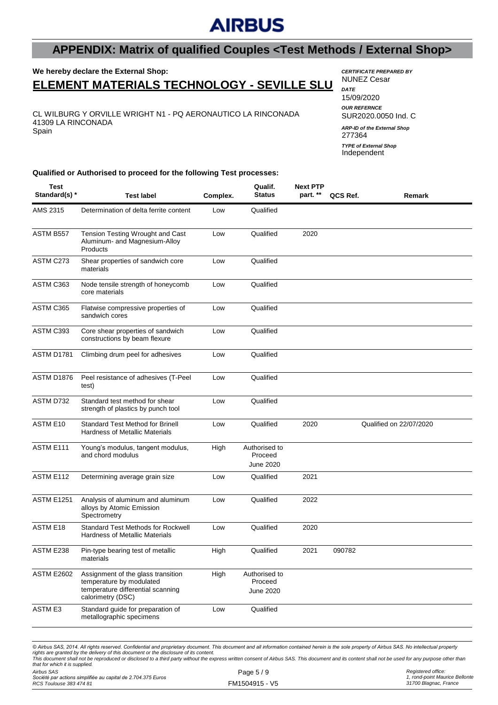### **APPENDIX: Matrix of qualified Couples <Test Methods / External Shop>**

#### **We hereby declare the External Shop: ELEMENT MATERIALS TECHNOLOGY - SEVILLE SLU**

CL WILBURG Y ORVILLE WRIGHT N1 - PQ AERONAUTICO LA RINCONADA 41309 LA RINCONADA Spain

*CERTIFICATE PREPARED BY* NUNEZ Cesar

*DATE* 15/09/2020 *OUR REFERNCE* SUR2020.0050 Ind. C 277364 *ARP-ID of the External Shop TYPE of External Shop*

Independent

**Qualified or Authorised to proceed for the following Test processes:**

| AMS 2315<br>Determination of delta ferrite content<br>Qualified<br>Low<br>ASTM B557<br>Tension Testing Wrought and Cast<br>Qualified<br>2020<br>Low<br>Aluminum- and Magnesium-Alloy<br>Products<br>ASTM C273<br>Qualified<br>Shear properties of sandwich core<br>Low<br>materials<br>ASTM C363<br>Node tensile strength of honeycomb<br>Low<br>Qualified<br>core materials<br>ASTM C365<br>Qualified<br>Flatwise compressive properties of<br>Low<br>sandwich cores<br>ASTM C393<br>Core shear properties of sandwich<br>Qualified<br>Low<br>constructions by beam flexure<br>ASTM D1781<br>Qualified<br>Climbing drum peel for adhesives<br>Low<br>ASTM D1876<br>Qualified<br>Peel resistance of adhesives (T-Peel<br>Low<br>test)<br>ASTM D732<br>Qualified<br>Standard test method for shear<br>Low<br>strength of plastics by punch tool | Remark |
|------------------------------------------------------------------------------------------------------------------------------------------------------------------------------------------------------------------------------------------------------------------------------------------------------------------------------------------------------------------------------------------------------------------------------------------------------------------------------------------------------------------------------------------------------------------------------------------------------------------------------------------------------------------------------------------------------------------------------------------------------------------------------------------------------------------------------------------------|--------|
|                                                                                                                                                                                                                                                                                                                                                                                                                                                                                                                                                                                                                                                                                                                                                                                                                                                |        |
|                                                                                                                                                                                                                                                                                                                                                                                                                                                                                                                                                                                                                                                                                                                                                                                                                                                |        |
|                                                                                                                                                                                                                                                                                                                                                                                                                                                                                                                                                                                                                                                                                                                                                                                                                                                |        |
|                                                                                                                                                                                                                                                                                                                                                                                                                                                                                                                                                                                                                                                                                                                                                                                                                                                |        |
|                                                                                                                                                                                                                                                                                                                                                                                                                                                                                                                                                                                                                                                                                                                                                                                                                                                |        |
|                                                                                                                                                                                                                                                                                                                                                                                                                                                                                                                                                                                                                                                                                                                                                                                                                                                |        |
|                                                                                                                                                                                                                                                                                                                                                                                                                                                                                                                                                                                                                                                                                                                                                                                                                                                |        |
|                                                                                                                                                                                                                                                                                                                                                                                                                                                                                                                                                                                                                                                                                                                                                                                                                                                |        |
|                                                                                                                                                                                                                                                                                                                                                                                                                                                                                                                                                                                                                                                                                                                                                                                                                                                |        |
| ASTM E10<br><b>Standard Test Method for Brinell</b><br>Qualified<br>2020<br>Qualified on 22/07/2020<br>Low<br><b>Hardness of Metallic Materials</b>                                                                                                                                                                                                                                                                                                                                                                                                                                                                                                                                                                                                                                                                                            |        |
| ASTM E111<br>Young's modulus, tangent modulus,<br>High<br>Authorised to<br>and chord modulus<br>Proceed<br>June 2020                                                                                                                                                                                                                                                                                                                                                                                                                                                                                                                                                                                                                                                                                                                           |        |
| ASTM E112<br>2021<br>Determining average grain size<br>Qualified<br>Low                                                                                                                                                                                                                                                                                                                                                                                                                                                                                                                                                                                                                                                                                                                                                                        |        |
| <b>ASTM E1251</b><br>Qualified<br>2022<br>Analysis of aluminum and aluminum<br>Low<br>alloys by Atomic Emission<br>Spectrometry                                                                                                                                                                                                                                                                                                                                                                                                                                                                                                                                                                                                                                                                                                                |        |
| <b>ASTM E18</b><br>Standard Test Methods for Rockwell<br>Qualified<br>2020<br>Low<br><b>Hardness of Metallic Materials</b>                                                                                                                                                                                                                                                                                                                                                                                                                                                                                                                                                                                                                                                                                                                     |        |
| ASTM E238<br>Qualified<br>2021<br>090782<br>Pin-type bearing test of metallic<br>High<br>materials                                                                                                                                                                                                                                                                                                                                                                                                                                                                                                                                                                                                                                                                                                                                             |        |
| <b>ASTM E2602</b><br>Assignment of the glass transition<br>High<br>Authorised to<br>temperature by modulated<br>Proceed<br>temperature differential scanning<br>June 2020<br>calorimetry (DSC)                                                                                                                                                                                                                                                                                                                                                                                                                                                                                                                                                                                                                                                 |        |
| <b>ASTM E3</b><br>Standard quide for preparation of<br>Qualified<br>Low<br>metallographic specimens                                                                                                                                                                                                                                                                                                                                                                                                                                                                                                                                                                                                                                                                                                                                            |        |

*© Airbus SAS, 2014. All rights reserved. Confidential and proprietary document. This document and all information contained herein is the sole property of Airbus SAS. No intellectual property*  rights are granted by the delivery of this document or the disclosure of its content.<br>This document shall not be reproduced or disclosed to a third party without the express written consent of Airbus SAS. This document and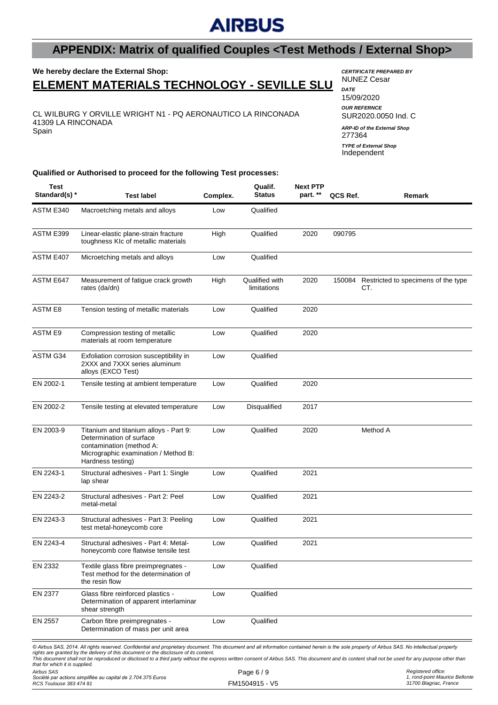### **APPENDIX: Matrix of qualified Couples <Test Methods / External Shop>**

#### **We hereby declare the External Shop: ELEMENT MATERIALS TECHNOLOGY - SEVILLE SLU**

CL WILBURG Y ORVILLE WRIGHT N1 - PQ AERONAUTICO LA RINCONADA 41309 LA RINCONADA Spain

*CERTIFICATE PREPARED BY* NUNEZ Cesar

*DATE* 15/09/2020 *OUR REFERNCE* SUR2020.0050 Ind. C 277364 *ARP-ID of the External Shop* Independent *TYPE of External Shop*

**Qualified or Authorised to proceed for the following Test processes:**

| Test<br>Standard(s) *                        | <b>Test label</b>                                                                                                                                                                                                                                                                                                                                                                                                                                                                             | Complex. | Qualif.<br><b>Status</b>      | <b>Next PTP</b><br>part. ** | QCS Ref. | Remark                                     |
|----------------------------------------------|-----------------------------------------------------------------------------------------------------------------------------------------------------------------------------------------------------------------------------------------------------------------------------------------------------------------------------------------------------------------------------------------------------------------------------------------------------------------------------------------------|----------|-------------------------------|-----------------------------|----------|--------------------------------------------|
| ASTM E340                                    | Macroetching metals and alloys                                                                                                                                                                                                                                                                                                                                                                                                                                                                | Low      | Qualified                     |                             |          |                                            |
| ASTM E399                                    | Linear-elastic plane-strain fracture<br>toughness KIc of metallic materials                                                                                                                                                                                                                                                                                                                                                                                                                   | High     | Qualified                     | 2020                        | 090795   |                                            |
| ASTM E407                                    | Microetching metals and alloys                                                                                                                                                                                                                                                                                                                                                                                                                                                                | Low      | Qualified                     |                             |          |                                            |
| ASTM E647                                    | Measurement of fatigue crack growth<br>rates (da/dn)                                                                                                                                                                                                                                                                                                                                                                                                                                          | High     | Qualified with<br>limitations | 2020                        | 150084   | Restricted to specimens of the type<br>CT. |
| <b>ASTM E8</b>                               | Tension testing of metallic materials                                                                                                                                                                                                                                                                                                                                                                                                                                                         | Low      | Qualified                     | 2020                        |          |                                            |
| <b>ASTM E9</b>                               | Compression testing of metallic<br>materials at room temperature                                                                                                                                                                                                                                                                                                                                                                                                                              | Low      | Qualified                     | 2020                        |          |                                            |
| ASTM G34                                     | Exfoliation corrosion susceptibility in<br>2XXX and 7XXX series aluminum<br>alloys (EXCO Test)                                                                                                                                                                                                                                                                                                                                                                                                | Low      | Qualified                     |                             |          |                                            |
| EN 2002-1                                    | Tensile testing at ambient temperature                                                                                                                                                                                                                                                                                                                                                                                                                                                        | Low      | Qualified                     | 2020                        |          |                                            |
| EN 2002-2                                    | Tensile testing at elevated temperature                                                                                                                                                                                                                                                                                                                                                                                                                                                       | Low      | Disqualified                  | 2017                        |          |                                            |
| EN 2003-9                                    | Titanium and titanium alloys - Part 9:<br>Determination of surface<br>contamination (method A:<br>Micrographic examination / Method B:<br>Hardness testing)                                                                                                                                                                                                                                                                                                                                   | Low      | Qualified                     | 2020                        |          | Method A                                   |
| EN 2243-1                                    | Structural adhesives - Part 1: Single<br>lap shear                                                                                                                                                                                                                                                                                                                                                                                                                                            | Low      | Qualified                     | 2021                        |          |                                            |
| EN 2243-2                                    | Structural adhesives - Part 2: Peel<br>metal-metal                                                                                                                                                                                                                                                                                                                                                                                                                                            | Low      | Qualified                     | 2021                        |          |                                            |
| EN 2243-3                                    | Structural adhesives - Part 3: Peeling<br>test metal-honeycomb core                                                                                                                                                                                                                                                                                                                                                                                                                           | Low      | Qualified                     | 2021                        |          |                                            |
| EN 2243-4                                    | Structural adhesives - Part 4: Metal-<br>honeycomb core flatwise tensile test                                                                                                                                                                                                                                                                                                                                                                                                                 | Low      | Qualified                     | 2021                        |          |                                            |
| EN 2332                                      | Textile glass fibre preimpregnates -<br>Test method for the determination of<br>the resin flow                                                                                                                                                                                                                                                                                                                                                                                                | Low      | Qualified                     |                             |          |                                            |
| EN 2377                                      | Glass fibre reinforced plastics -<br>Determination of apparent interlaminar<br>shear strength                                                                                                                                                                                                                                                                                                                                                                                                 | Low      | Qualified                     |                             |          |                                            |
| EN 2557                                      | Carbon fibre preimpregnates -<br>Determination of mass per unit area                                                                                                                                                                                                                                                                                                                                                                                                                          | Low      | Qualified                     |                             |          |                                            |
|                                              | © Airbus SAS, 2014. All rights reserved. Confidential and proprietary document. This document and all information contained herein is the sole property of Airbus SAS. No intellectual property<br>rights are granted by the delivery of this document or the disclosure of its content.<br>This document shall not be reproduced or disclosed to a third party without the express written consent of Airbus SAS. This document and its content shall not be used for any purpose other than |          |                               |                             |          |                                            |
| that for which it is supplied.<br>Airbus SAS |                                                                                                                                                                                                                                                                                                                                                                                                                                                                                               |          | Page $6/9$                    |                             |          | Registered office:                         |

*Société par actions simplifiée au capital de 2.704.375 Euros RCS Toulouse 383 474 81*

*Registered office: 1, rond-point Maurice Bellonte 31700 Blagnac, France*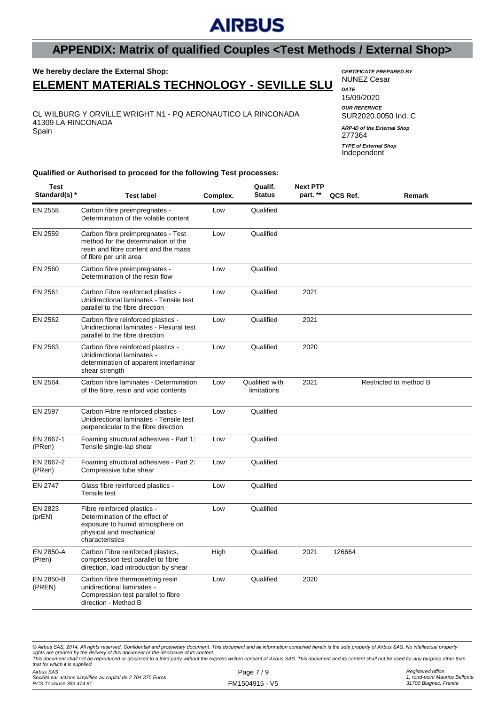### **APPENDIX: Matrix of qualified Couples <Test Methods / External Shop>**

**Qualif.**

### **We hereby declare the External Shop:**

### **ELEMENT MATERIALS TECHNOLOGY - SEVILLE SLU**

CL WILBURG Y ORVILLE WRIGHT N1 - PQ AERONAUTICO LA RINCONADA 41309 LA RINCONADA Spain

*CERTIFICATE PREPARED BY* NUNEZ Cesar

*DATE* 15/09/2020 *OUR REFERNCE* SUR2020.0050 Ind. C 277364 *ARP-ID of the External Shop TYPE of External Shop*

Independent

**Qualified or Authorised to proceed for the following Test processes:**

| Test<br>Standard(s) * | <b>Test label</b>                                                                                                                              | Complex. | Qualif.<br><b>Status</b>      | <b>Next PTP</b><br>part. ** | QCS Ref. | Remark                 |
|-----------------------|------------------------------------------------------------------------------------------------------------------------------------------------|----------|-------------------------------|-----------------------------|----------|------------------------|
| EN 2558               | Carbon fibre preimpregnates -<br>Determination of the volatile content                                                                         | Low      | Qualified                     |                             |          |                        |
| EN 2559               | Carbon fibre preimpregnates - Test<br>method for the determination of the<br>resin and fibre content and the mass<br>of fibre per unit area    | Low      | Qualified                     |                             |          |                        |
| EN 2560               | Carbon fibre preimpregnates -<br>Determination of the resin flow                                                                               | Low      | Qualified                     |                             |          |                        |
| EN 2561               | Carbon Fibre reinforced plastics -<br>Unidirectional laminates - Tensile test<br>parallel to the fibre direction                               | Low      | Qualified                     | 2021                        |          |                        |
| EN 2562               | Carbon fibre reinforced plastics -<br>Unidirectional laminates - Flexural test<br>parallel to the fibre direction                              | Low      | Qualified                     | 2021                        |          |                        |
| EN 2563               | Carbon fibre reinforced plastics -<br>Unidirectional laminates -<br>determination of apparent interlaminar<br>shear strength                   | Low      | Qualified                     | 2020                        |          |                        |
| EN 2564               | Carbon fibre laminates - Determination<br>of the fibre, resin and void contents                                                                | Low      | Qualified with<br>limitations | 2021                        |          | Restricted to method B |
| <b>EN 2597</b>        | Carbon Fibre reinforced plastics -<br>Unidirectional laminates - Tensile test<br>perpendicular to the fibre direction                          | Low      | Qualified                     |                             |          |                        |
| EN 2667-1<br>(PRen)   | Foaming structural adhesives - Part 1:<br>Tensile single-lap shear                                                                             | Low      | Qualified                     |                             |          |                        |
| EN 2667-2<br>(PRen)   | Foaming structural adhesives - Part 2:<br>Compressive tube shear                                                                               | Low      | Qualified                     |                             |          |                        |
| EN 2747               | Glass fibre reinforced plastics -<br>Tensile test                                                                                              | Low      | Qualified                     |                             |          |                        |
| EN 2823<br>(prEN)     | Fibre reinforced plastics -<br>Determination of the effect of<br>exposure to humid atmosphere on<br>physical and mechanical<br>characteristics | Low      | Qualified                     |                             |          |                        |
| EN 2850-A<br>(Pren)   | Carbon Fibre reinforced plastics,<br>compression test parallel to fibre<br>direction, load introduction by shear                               | High     | Qualified                     | 2021                        | 126664   |                        |
| EN 2850-B<br>(PREN)   | Carbon fibre thermosetting resin<br>unidirectional laminates -<br>Compression test parallel to fibre<br>direction - Method B                   | Low      | Qualified                     | 2020                        |          |                        |

*© Airbus SAS, 2014. All rights reserved. Confidential and proprietary document. This document and all information contained herein is the sole property of Airbus SAS. No intellectual property*  rights are granted by the delivery of this document or the disclosure of its content.<br>This document shall not be reproduced or disclosed to a third party without the express written consent of Airbus SAS. This document and *that for which it is supplied.*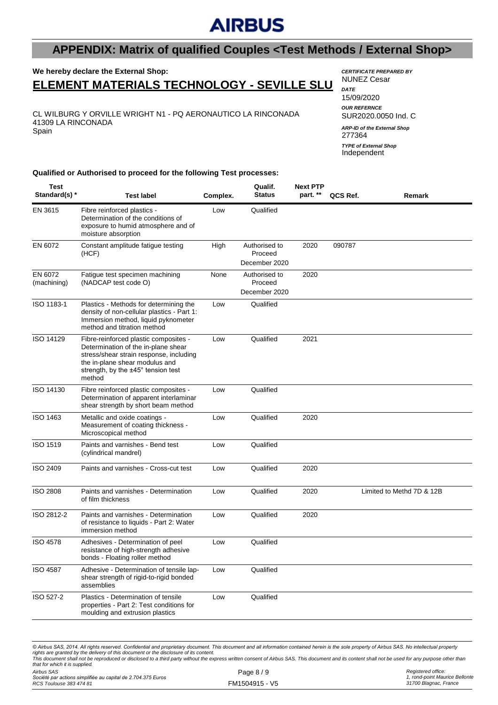### **APPENDIX: Matrix of qualified Couples <Test Methods / External Shop>**

# **We hereby declare the External Shop:**

### **ELEMENT MATERIALS TECHNOLOGY - SEVILLE SLU**

CL WILBURG Y ORVILLE WRIGHT N1 - PQ AERONAUTICO LA RINCONADA 41309 LA RINCONADA Spain

*CERTIFICATE PREPARED BY* NUNEZ Cesar

*DATE* 15/09/2020 *OUR REFERNCE* SUR2020.0050 Ind. C 277364 Independent *ARP-ID of the External Shop TYPE of External Shop*

#### **Qualified or Authorised to proceed for the following Test processes:**

| Test<br>Standard(s) *  | <b>Test label</b>                                                                                                                                                                                                | Complex. | Qualif.<br><b>Status</b>                  | <b>Next PTP</b><br>part. ** | QCS Ref. | Remark                    |
|------------------------|------------------------------------------------------------------------------------------------------------------------------------------------------------------------------------------------------------------|----------|-------------------------------------------|-----------------------------|----------|---------------------------|
| EN 3615                | Fibre reinforced plastics -<br>Determination of the conditions of<br>exposure to humid atmosphere and of<br>moisture absorption                                                                                  | Low      | Qualified                                 |                             |          |                           |
| EN 6072                | Constant amplitude fatigue testing<br>(HCF)                                                                                                                                                                      | High     | Authorised to<br>Proceed<br>December 2020 | 2020                        | 090787   |                           |
| EN 6072<br>(machining) | Fatigue test specimen machining<br>(NADCAP test code O)                                                                                                                                                          | None     | Authorised to<br>Proceed<br>December 2020 | 2020                        |          |                           |
| ISO 1183-1             | Plastics - Methods for determining the<br>density of non-cellular plastics - Part 1:<br>Immersion method, liquid pyknometer<br>method and titration method                                                       | Low      | Qualified                                 |                             |          |                           |
| ISO 14129              | Fibre-reinforced plastic composites -<br>Determination of the in-plane shear<br>stress/shear strain response, including<br>the in-plane shear modulus and<br>strength, by the $±45^\circ$ tension test<br>method | Low      | Qualified                                 | 2021                        |          |                           |
| ISO 14130              | Fibre reinforced plastic composites -<br>Determination of apparent interlaminar<br>shear strength by short beam method                                                                                           | Low      | Qualified                                 |                             |          |                           |
| ISO 1463               | Metallic and oxide coatings -<br>Measurement of coating thickness -<br>Microscopical method                                                                                                                      | Low      | Qualified                                 | 2020                        |          |                           |
| <b>ISO 1519</b>        | Paints and varnishes - Bend test<br>(cylindrical mandrel)                                                                                                                                                        | Low      | Qualified                                 |                             |          |                           |
| ISO 2409               | Paints and varnishes - Cross-cut test                                                                                                                                                                            | Low      | Qualified                                 | 2020                        |          |                           |
| <b>ISO 2808</b>        | Paints and varnishes - Determination<br>of film thickness                                                                                                                                                        | Low      | Qualified                                 | 2020                        |          | Limited to Methd 7D & 12B |
| ISO 2812-2             | Paints and varnishes - Determination<br>of resistance to liquids - Part 2: Water<br>immersion method                                                                                                             | Low      | Qualified                                 | 2020                        |          |                           |
| <b>ISO 4578</b>        | Adhesives - Determination of peel<br>resistance of high-strength adhesive<br>bonds - Floating roller method                                                                                                      | Low      | Qualified                                 |                             |          |                           |
| <b>ISO 4587</b>        | Adhesive - Determination of tensile lap-<br>shear strength of rigid-to-rigid bonded<br>assemblies                                                                                                                | Low      | Qualified                                 |                             |          |                           |
| ISO 527-2              | Plastics - Determination of tensile<br>properties - Part 2: Test conditions for<br>moulding and extrusion plastics                                                                                               | Low      | Qualified                                 |                             |          |                           |

*Airbus SAS* Page 8 / 9 *© Airbus SAS, 2014. All rights reserved. Confidential and proprietary document. This document and all information contained herein is the sole property of Airbus SAS. No intellectual property*  rights are granted by the delivery of this document or the disclosure of its content.<br>This document shall not be reproduced or disclosed to a third party without the express written consent of Airbus SAS. This document and *that for which it is supplied.*